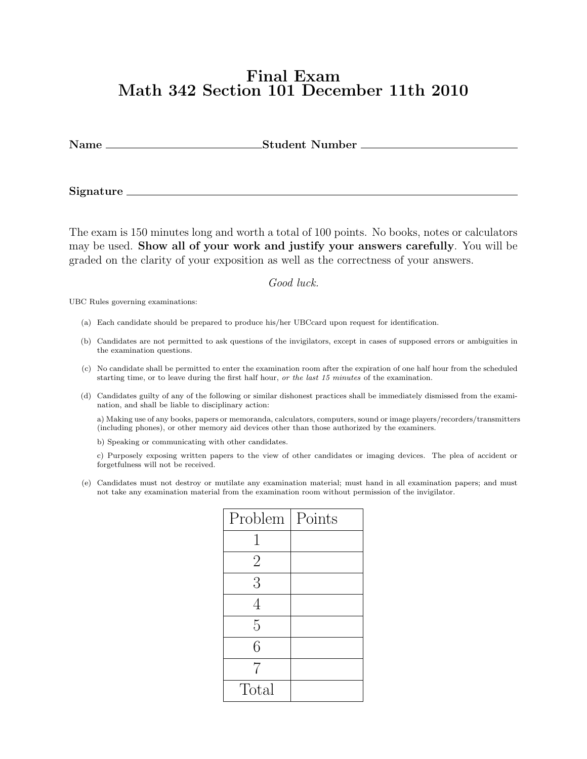## Final Exam Math 342 Section 101 December 11th 2010

| Name | Student Number |
|------|----------------|
|      |                |

Signature

The exam is 150 minutes long and worth a total of 100 points. No books, notes or calculators may be used. Show all of your work and justify your answers carefully. You will be graded on the clarity of your exposition as well as the correctness of your answers.

## Good luck.

UBC Rules governing examinations:

- (a) Each candidate should be prepared to produce his/her UBCcard upon request for identification.
- (b) Candidates are not permitted to ask questions of the invigilators, except in cases of supposed errors or ambiguities in the examination questions.
- (c) No candidate shall be permitted to enter the examination room after the expiration of one half hour from the scheduled starting time, or to leave during the first half hour, or the last 15 minutes of the examination.
- (d) Candidates guilty of any of the following or similar dishonest practices shall be immediately dismissed from the examination, and shall be liable to disciplinary action:

a) Making use of any books, papers or memoranda, calculators, computers, sound or image players/recorders/transmitters (including phones), or other memory aid devices other than those authorized by the examiners.

b) Speaking or communicating with other candidates.

c) Purposely exposing written papers to the view of other candidates or imaging devices. The plea of accident or forgetfulness will not be received.

(e) Candidates must not destroy or mutilate any examination material; must hand in all examination papers; and must not take any examination material from the examination room without permission of the invigilator.

| Problem        | Points |
|----------------|--------|
| 1              |        |
| $\overline{2}$ |        |
| 3              |        |
| 4              |        |
| $\overline{5}$ |        |
| 6              |        |
| 7              |        |
| Total          |        |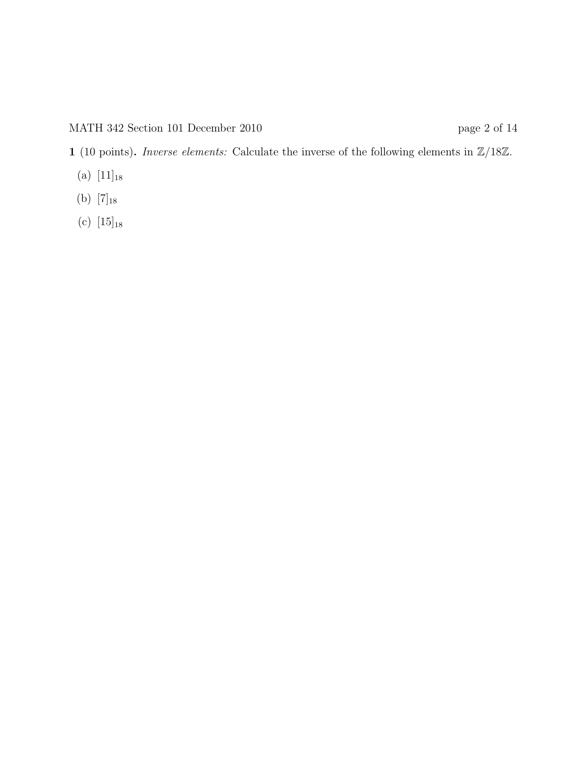- 1 (10 points). Inverse elements: Calculate the inverse of the following elements in  $\mathbb{Z}/18\mathbb{Z}$ .
	- $(a)$  [11]<sub>18</sub>
	- (b)  $[7]_{18}$
	- (c)  $[15]_{18}$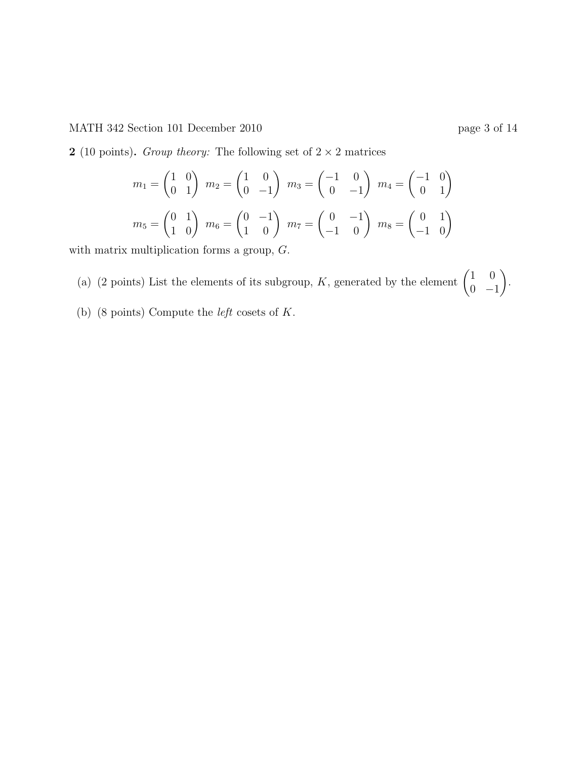## MATH 342 Section 101 December 2010 page 3 of 14

2 (10 points). Group theory: The following set of  $2 \times 2$  matrices

$$
m_1 = \begin{pmatrix} 1 & 0 \\ 0 & 1 \end{pmatrix} \ m_2 = \begin{pmatrix} 1 & 0 \\ 0 & -1 \end{pmatrix} \ m_3 = \begin{pmatrix} -1 & 0 \\ 0 & -1 \end{pmatrix} \ m_4 = \begin{pmatrix} -1 & 0 \\ 0 & 1 \end{pmatrix}
$$

$$
m_5 = \begin{pmatrix} 0 & 1 \\ 1 & 0 \end{pmatrix} \ m_6 = \begin{pmatrix} 0 & -1 \\ 1 & 0 \end{pmatrix} \ m_7 = \begin{pmatrix} 0 & -1 \\ -1 & 0 \end{pmatrix} \ m_8 = \begin{pmatrix} 0 & 1 \\ -1 & 0 \end{pmatrix}
$$

with matrix multiplication forms a group, G.

- (a) (2 points) List the elements of its subgroup, K, generated by the element  $\begin{pmatrix} 1 & 0 \\ 0 & 0 \end{pmatrix}$  $0 -1$  $\setminus$ .
- (b) (8 points) Compute the *left* cosets of  $K$ .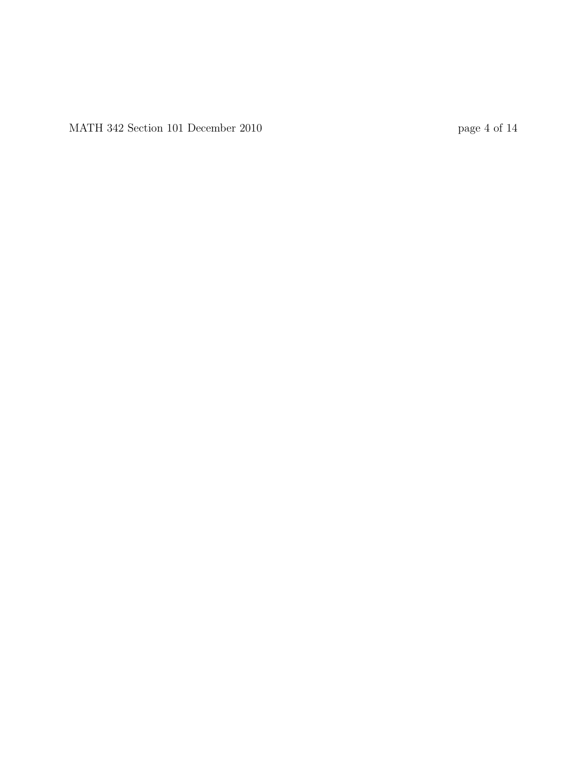MATH 342 Section 101 December 2010 page 4 of 14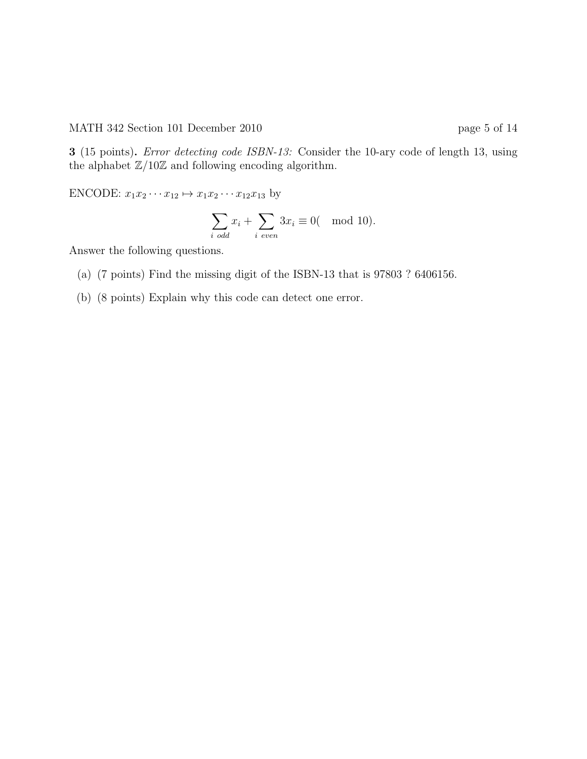MATH 342 Section 101 December 2010 page 5 of 14

3 (15 points). Error detecting code ISBN-13: Consider the 10-ary code of length 13, using the alphabet  $\mathbb{Z}/10\mathbb{Z}$  and following encoding algorithm.

ENCODE:  $x_1x_2 \cdots x_{12} \mapsto x_1x_2 \cdots x_{12}x_{13}$  by

$$
\sum_{i \text{ odd}} x_i + \sum_{i \text{ even}} 3x_i \equiv 0 \pmod{10}.
$$

Answer the following questions.

- (a) (7 points) Find the missing digit of the ISBN-13 that is 97803 ? 6406156.
- (b) (8 points) Explain why this code can detect one error.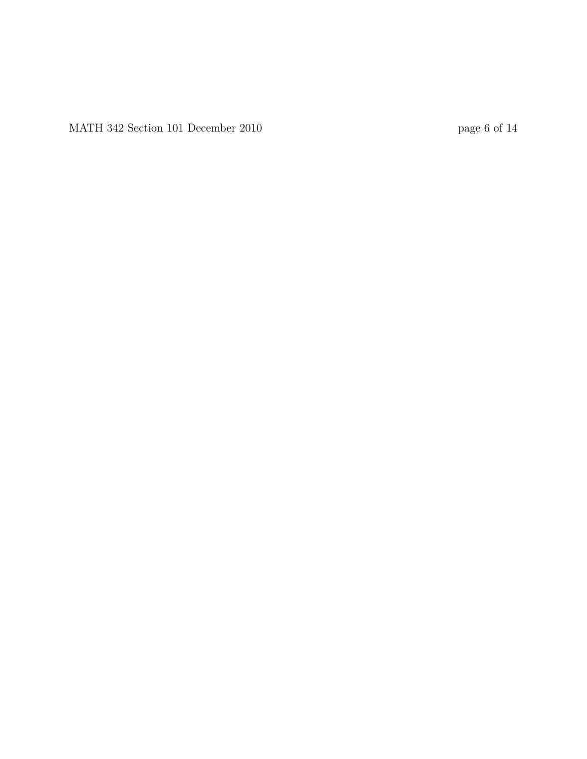MATH 342 Section 101 December 2010 page 6 of 14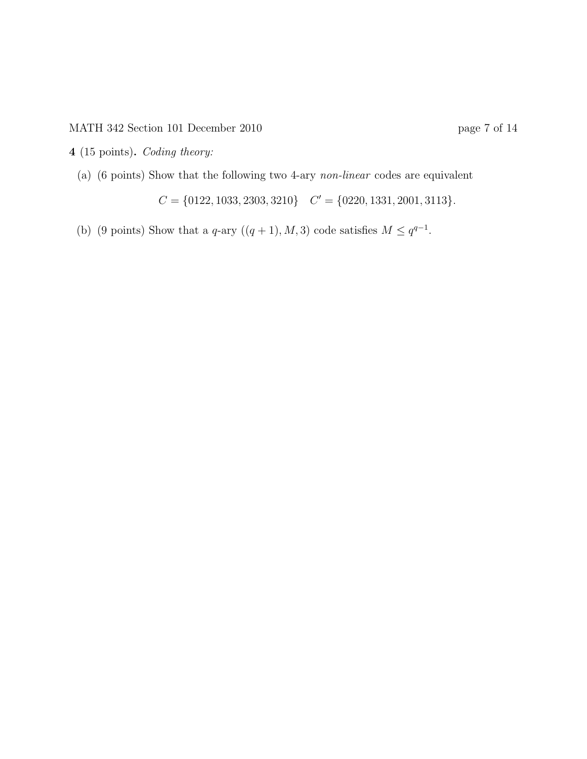## MATH 342 Section 101 December 2010 page 7 of 14

- 4 (15 points). Coding theory:
	- (a) (6 points) Show that the following two 4-ary non-linear codes are equivalent

 $C = \{0122, 1033, 2303, 3210\}$   $C' = \{0220, 1331, 2001, 3113\}.$ 

(b) (9 points) Show that a q-ary  $((q + 1), M, 3)$  code satisfies  $M \leq q^{q-1}$ .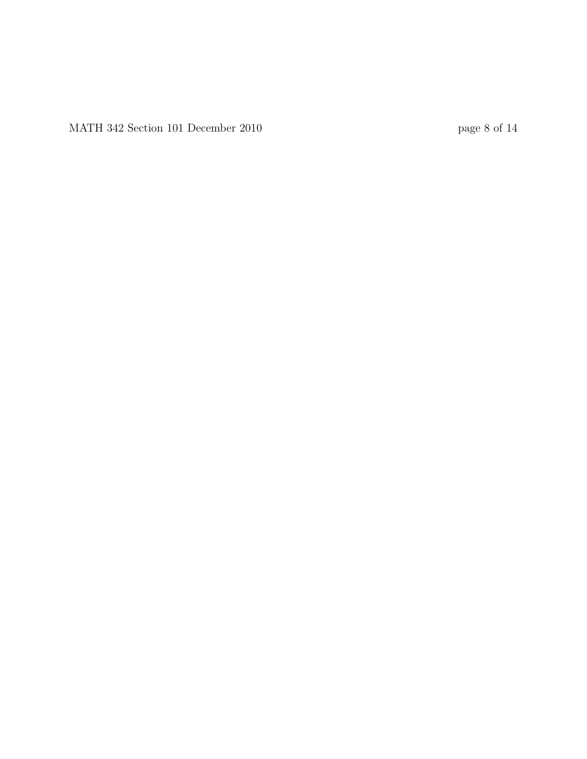MATH 342 Section 101 December 2010 page 8 of 14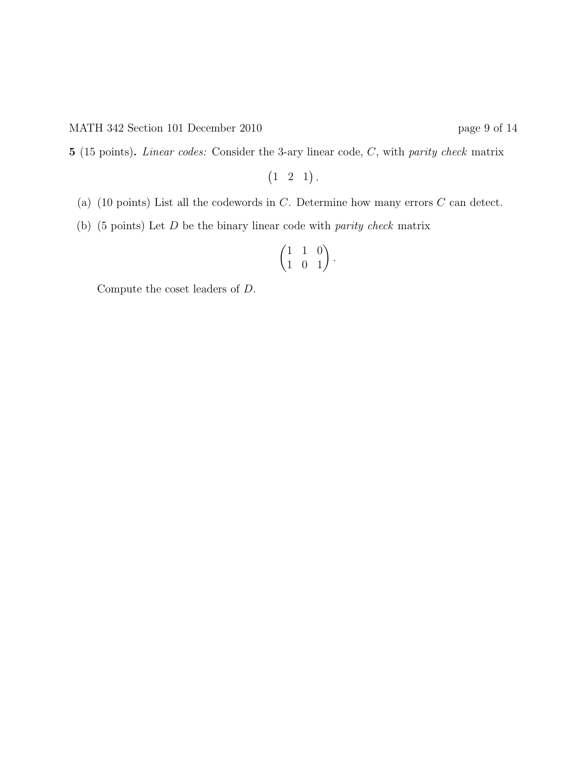MATH 342 Section 101 December 2010 page 9 of 14

5 (15 points). Linear codes: Consider the 3-ary linear code, C, with parity check matrix

 $\begin{pmatrix} 1 & 2 & 1 \end{pmatrix}$ .

- (a) (10 points) List all the codewords in  $C$ . Determine how many errors  $C$  can detect.
- (b) (5 points) Let  $D$  be the binary linear code with *parity check* matrix

$$
\begin{pmatrix} 1 & 1 & 0 \\ 1 & 0 & 1 \end{pmatrix}.
$$

Compute the coset leaders of D.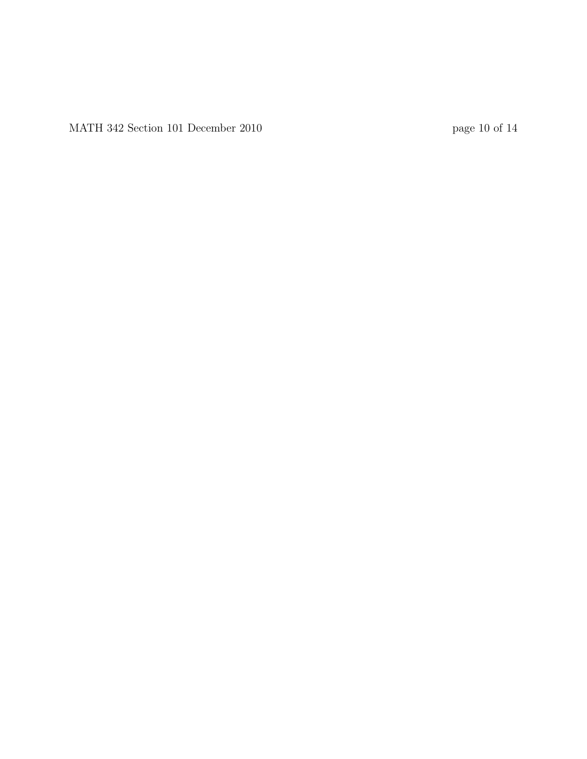MATH 342 Section 101 December 2010 page 10 of 14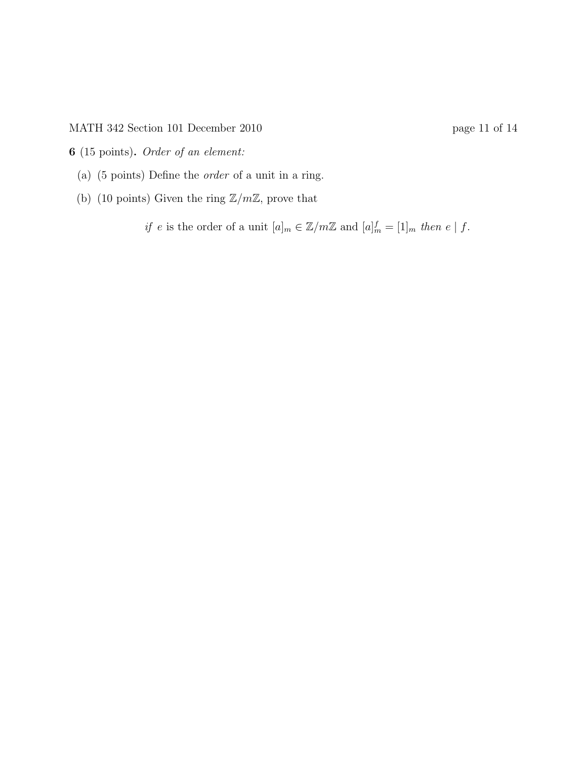MATH 342 Section 101 December 2010 page 11 of 14

6 (15 points). Order of an element:

- (a) (5 points) Define the order of a unit in a ring.
- (b) (10 points) Given the ring  $\mathbb{Z}/m\mathbb{Z}$ , prove that

if e is the order of a unit  $[a]_m \in \mathbb{Z}/m\mathbb{Z}$  and  $[a]_m^f = [1]_m$  then  $e \mid f$ .